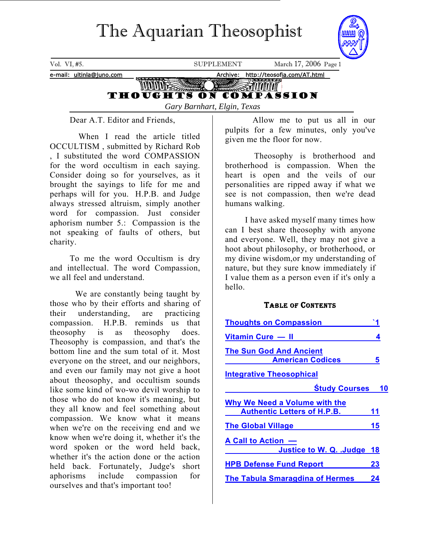# The Aquarian Theosophist

<span id="page-0-0"></span>

Dear A.T. Editor and Friends,

 When I read the article titled OCCULTISM , submitted by Richard Rob , I substituted the word COMPASSION for the word occultism in each saying. Consider doing so for yourselves, as it brought the sayings to life for me and perhaps will for you. H.P.B. and Judge always stressed altruism, simply another word for compassion. Just consider aphorism number 5.: Compassion is the not speaking of faults of others, but charity.

To me the word Occultism is dry and intellectual. The word Compassion, we all feel and understand.

 We are constantly being taught by those who by their efforts and sharing of their understanding, are practicing compassion. H.P.B. reminds us that theosophy is as theosophy does. Theosophy is compassion, and that's the bottom line and the sum total of it. Most everyone on the street, and our neighbors, and even our family may not give a hoot about theosophy, and occultism sounds like some kind of wo-wo devil worship to those who do not know it's meaning, but they all know and feel something about compassion. We know what it means when we're on the receiving end and we know when we're doing it, whether it's the word spoken or the word held back, whether it's the action done or the action held back. Fortunately, Judge's short aphorisms include compassion for ourselves and that's important too!

 Allow me to put us all in our pulpits for a few minutes, only you've given me the floor for now.

 Theosophy is brotherhood and brotherhood is compassion. When the heart is open and the veils of our personalities are ripped away if what we see is not compassion, then we're dead humans walking.

I have asked myself many times how can I best share theosophy with anyone and everyone. Well, they may not give a hoot about philosophy, or brotherhood, or my divine wisdom,or my understanding of nature, but they sure know immediately if I value them as a person even if it's only a hello.

## TABLE OF CONTENTS

| <b>Thoughts on Compassion</b>                                       |    |
|---------------------------------------------------------------------|----|
| Vitamin Cure - II                                                   | 4  |
| <b>The Sun God And Ancient</b><br><b>American Codices</b>           | 5  |
| <b>Integrative Theosophical</b>                                     |    |
| <b>Study Courses 10</b>                                             |    |
| Why We Need a Volume with the<br><b>Authentic Letters of H.P.B.</b> | 11 |
| <b>The Global Village</b>                                           | 15 |
| A Call to Action -<br>Justice to W. Q. .Judge 18                    |    |
| <b>HPB Defense Fund Report</b>                                      | 23 |
| <b>The Tabula Smaragdina of Hermes</b>                              | 24 |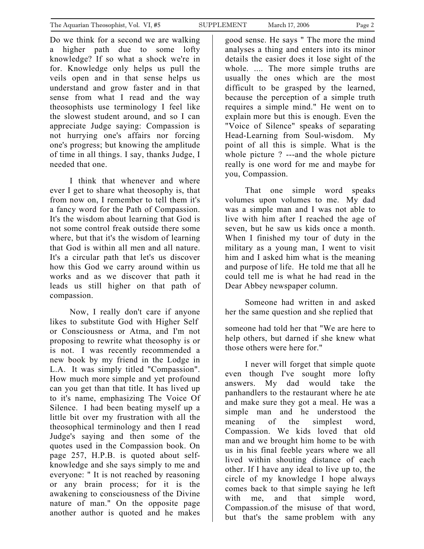Do we think for a second we are walking a higher path due to some lofty knowledge? If so what a shock we're in for. Knowledge only helps us pull the veils open and in that sense helps us understand and grow faster and in that sense from what I read and the way theosophists use terminology I feel like the slowest student around, and so I can appreciate Judge saying: Compassion is not hurrying one's affairs nor forcing one's progress; but knowing the amplitude of time in all things. I say, thanks Judge, I needed that one.

I think that whenever and where ever I get to share what theosophy is, that from now on, I remember to tell them it's a fancy word for the Path of Compassion. It's the wisdom about learning that God is not some control freak outside there some where, but that it's the wisdom of learning that God is within all men and all nature. It's a circular path that let's us discover how this God we carry around within us works and as we discover that path it leads us still higher on that path of compassion.

Now, I really don't care if anyone likes to substitute God with Higher Self or Consciousness or Atma, and I'm not proposing to rewrite what theosophy is or is not. I was recently recommended a new book by my friend in the Lodge in L.A. It was simply titled "Compassion". How much more simple and yet profound can you get than that title. It has lived up to it's name, emphasizing The Voice Of Silence. I had been beating myself up a little bit over my frustration with all the theosophical terminology and then I read Judge's saying and then some of the quotes used in the Compassion book. On page 257, H.P.B. is quoted about selfknowledge and she says simply to me and everyone: " It is not reached by reasoning or any brain process; for it is the awakening to consciousness of the Divine nature of man." On the opposite page another author is quoted and he makes

good sense. He says " The more the mind analyses a thing and enters into its minor details the easier does it lose sight of the whole. .... The more simple truths are usually the ones which are the most difficult to be grasped by the learned, because the perception of a simple truth requires a simple mind." He went on to explain more but this is enough. Even the "Voice of Silence" speaks of separating Head-Learning from Soul-wisdom. My point of all this is simple. What is the whole picture ? ---and the whole picture really is one word for me and maybe for you, Compassion.

That one simple word speaks volumes upon volumes to me. My dad was a simple man and I was not able to live with him after I reached the age of seven, but he saw us kids once a month. When I finished my tour of duty in the military as a young man, I went to visit him and I asked him what is the meaning and purpose of life. He told me that all he could tell me is what he had read in the Dear Abbey newspaper column.

Someone had written in and asked her the same question and she replied that

someone had told her that "We are here to help others, but darned if she knew what those others were here for."

I never will forget that simple quote even though I've sought more lofty answers. My dad would take the panhandlers to the restaurant where he ate and make sure they got a meal. He was a simple man and he understood the meaning of the simplest word, Compassion. We kids loved that old man and we brought him home to be with us in his final feeble years where we all lived within shouting distance of each other. If I have any ideal to live up to, the circle of my knowledge I hope always comes back to that simple saying he left with me, and that simple word, Compassion.of the misuse of that word, but that's the same problem with any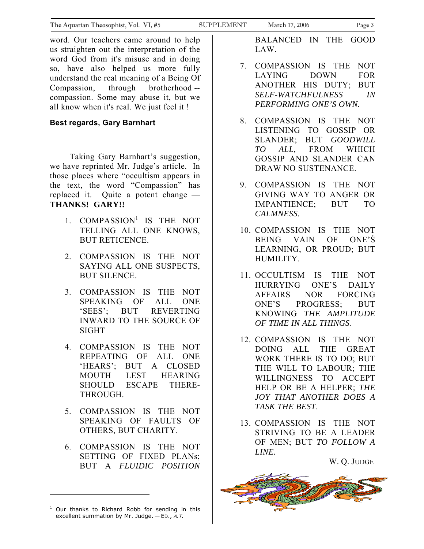word. Our teachers came around to help us straighten out the interpretation of the word God from it's misuse and in doing so, have also helped us more fully understand the real meaning of a Being Of Compassion, through brotherhood - compassion. Some may abuse it, but we all know when it's real. We just feel it !

## **Best regards, Gary Barnhart**

Taking Gary Barnhart's suggestion, we have reprinted Mr. Judge's article. In those places where "occultism appears in the text, the word "Compassion" has replaced it. Quite a potent change — **THANKS! GARY!!** 

- [1](#page-2-0). COMPASSION<sup>1</sup> IS THE NOT TELLING ALL ONE KNOWS, BUT RETICENCE.
- 2. COMPASSION IS THE NOT SAYING ALL ONE SUSPECTS, BUT SILENCE.
- 3. COMPASSION IS THE NOT SPEAKING OF ALL ONE 'SEES'; BUT REVERTING INWARD TO THE SOURCE OF SIGHT
- 4. COMPASSION IS THE NOT REPEATING OF ALL ONE 'HEARS'; BUT A CLOSED MOUTH LEST HEARING SHOULD ESCAPE THERE-THROUGH.
- 5. COMPASSION IS THE NOT SPEAKING OF FAULTS OF OTHERS, BUT CHARITY.
- 6. COMPASSION IS THE NOT SETTING OF FIXED PLANs; BUT A *FLUIDIC POSITION*

BALANCED IN THE GOOD LAW.

- 7. COMPASSION IS THE NOT LAYING DOWN FOR ANOTHER HIS DUTY; BUT *SELF-WATCHFULNESS IN PERFORMING ONE'S OWN.*
- 8. COMPASSION IS THE NOT LISTENING TO GOSSIP OR SLANDER; BUT *GOODWILL TO ALL,* FROM WHICH GOSSIP AND SLANDER CAN DRAW NO SUSTENANCE.
- 9. COMPASSION IS THE NOT GIVING WAY TO ANGER OR IMPANTIENCE; BUT TO *CALMNESS.*
- 10. COMPASSION IS THE NOT BEING VAIN OF ONE'Ś LEARNING, OR PROUD; BUT HUMILITY.
- 11. OCCULTISM IS THE NOT HURRYING ONE'S DAILY AFFAIRS NOR FORCING ONE'S PROGRESS; BUT KNOWING *THE AMPLITUDE OF TIME IN ALL THINGS*.
- 12. COMPASSION IS THE NOT DOING ALL THE GREAT WORK THERE IS TO DO; BUT THE WILL TO LABOUR; THE WILLINGNESS TO ACCEPT HELP OR BE A HELPER; *THE JOY THAT ANOTHER DOES A TASK THE BEST*.
- 13. COMPASSION IS THE NOT STRIVING TO BE A LEADER OF MEN; BUT *TO FOLLOW A LINE.*

W. Q. JUDGE



<span id="page-2-0"></span> $1$  Our thanks to Richard Robb for sending in this excellent summation by Mr. Judge.  $-$  ED., A.T.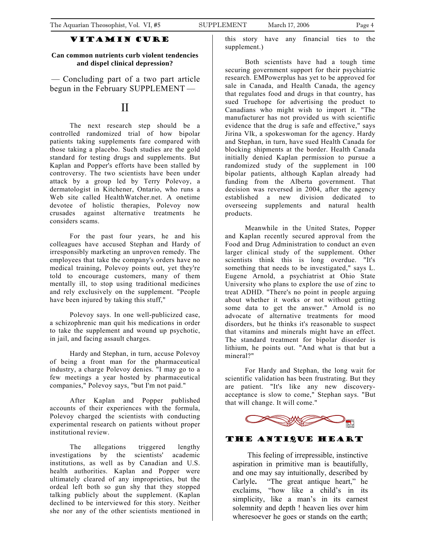## Vitamin Cure

#### <span id="page-3-0"></span>**Can common nutrients curb violent tendencies and dispel clinical depression?**

— Concluding part of a two part article begun in the February SUPPLEMENT —

## II

The next research step should be a controlled randomized trial of how bipolar patients taking supplements fare compared with those taking a placebo. Such studies are the gold standard for testing drugs and supplements. But Kaplan and Popper's efforts have been stalled by controversy. The two scientists have been under attack by a group led by Terry Polevoy, a dermatologist in Kitchener, Ontario, who runs a Web site called HealthWatcher.net. A onetime devotee of holistic therapies, Polevoy now crusades against alternative treatments he considers scams.

For the past four years, he and his colleagues have accused Stephan and Hardy of irresponsibly marketing an unproven remedy. The employees that take the company's orders have no medical training, Polevoy points out, yet they're told to encourage customers, many of them mentally ill, to stop using traditional medicines and rely exclusively on the supplement. "People have been injured by taking this stuff,"

Polevoy says. In one well-publicized case, a schizophrenic man quit his medications in order to take the supplement and wound up psychotic, in jail, and facing assault charges.

Hardy and Stephan, in turn, accuse Polevoy of being a front man for the pharmaceutical industry, a charge Polevoy denies. "I may go to a few meetings a year hosted by pharmaceutical companies," Polevoy says, "but I'm not paid."

After Kaplan and Popper published accounts of their experiences with the formula, Polevoy charged the scientists with conducting experimental research on patients without proper institutional review.

The allegations triggered lengthy investigations by the scientists' academic institutions, as well as by Canadian and U.S. health authorities. Kaplan and Popper were ultimately cleared of any improprieties, but the ordeal left both so gun shy that they stopped talking publicly about the supplement. (Kaplan declined to be interviewed for this story. Neither she nor any of the other scientists mentioned in

this story have any financial ties to the supplement.)

Both scientists have had a tough time securing government support for their psychiatric research. EMPowerplus has yet to be approved for sale in Canada, and Health Canada, the agency that regulates food and drugs in that country, has sued Truehope for advertising the product to Canadians who might wish to import it. "The manufacturer has not provided us with scientific evidence that the drug is safe and effective," says Jirina Vlk, a spokeswoman for the agency. Hardy and Stephan, in turn, have sued Health Canada for blocking shipments at the border. Health Canada initially denied Kaplan permission to pursue a randomized study of the supplement in 100 bipolar patients, although Kaplan already had funding from the Alberta government. That decision was reversed in 2004, after the agency established a new division dedicated to overseeing supplements and natural health products.

Meanwhile in the United States, Popper and Kaplan recently secured approval from the Food and Drug Administration to conduct an even larger clinical study of the supplement. Other scientists think this is long overdue. "It's something that needs to be investigated," says L. Eugene Arnold, a psychiatrist at Ohio State University who plans to explore the use of zinc to treat ADHD. "There's no point in people arguing about whether it works or not without getting some data to get the answer." Arnold is no advocate of alternative treatments for mood disorders, but he thinks it's reasonable to suspect that vitamins and minerals might have an effect. The standard treatment for bipolar disorder is lithium, he points out. "And what is that but a mineral?"

For Hardy and Stephan, the long wait for scientific validation has been frustrating. But they are patient. "It's like any new discoveryacceptance is slow to come," Stephan says. "But that will change. It will come."



## The Antique Heart

This feeling of irrepressible, instinctive aspiration in primitive man is beautifully, and one may say intuitionally, described by Carlyle**.** "The great antique heart," he exclaims, "how like a child's in its simplicity, like a man's in its earnest solemnity and depth ! heaven lies over him wheresoever he goes or stands on the earth;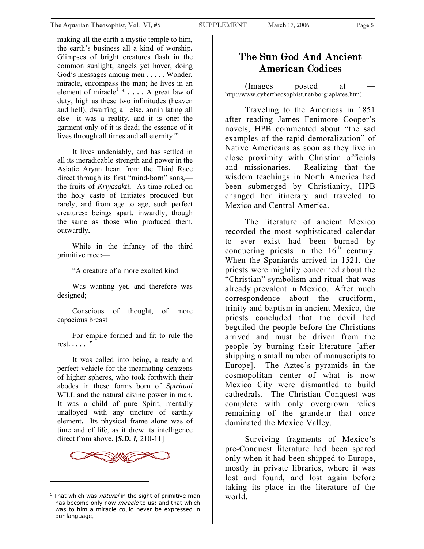<span id="page-4-0"></span>making all the earth a mystic temple to him, the earth's business all a kind of worship**.** Glimpses of bright creatures flash in the common sunlight; angels yet hover, doing God's messages among men **. . . . .** Wonder, miracle, encompass the man; he lives in an element of miracle<sup>[1](#page-4-1)</sup> \* . . . . A great law of duty, high as these two infinitudes (heaven and hell), dwarfing all else, annihilating all else—it was a reality, and it is one**:** the garment only of it is dead; the essence of it lives through all times and all eternity!"

It lives undeniably, and has settled in all its ineradicable strength and power in the Asiatic Aryan heart from the Third Race direct through its first "mind-born" sons, the fruits of *Kriyasakti***.** As time rolled on the holy caste of Initiates produced but rarely, and from age to age, such perfect creatures**:** beings apart, inwardly, though the same as those who produced them, outwardly**.**

While in the infancy of the third primitive race**:**—

"A creature of a more exalted kind

Was wanting yet, and therefore was designed;

Conscious of thought, of more capacious breast

For empire formed and fit to rule the rest**. . . . .** "

It was called into being, a ready and perfect vehicle for the incarnating denizens of higher spheres, who took forthwith their abodes in these forms born of *Spiritual* WILL and the natural divine power in man**.** It was a child of pure Spirit, mentally unalloyed with any tincture of earthly element**.** Its physical frame alone was of time and of life, as it drew its intelligence direct from above**. [***S.D. I,* 210-11]



l

# The Sun God And Ancient American Codices

(Images posted at [http://www.cybertheosophist.net/borgiaplates.htm\)](http://www.cybertheosophist.net/borgiaplates.htm)

Traveling to the Americas in 1851 after reading James Fenimore Cooper's novels, HPB commented about "the sad examples of the rapid demoralization" of Native Americans as soon as they live in close proximity with Christian officials and missionaries. Realizing that the wisdom teachings in North America had been submerged by Christianity, HPB changed her itinerary and traveled to Mexico and Central America.

The literature of ancient Mexico recorded the most sophisticated calendar to ever exist had been burned by conquering priests in the  $16<sup>th</sup>$  century. When the Spaniards arrived in 1521, the priests were mightily concerned about the "Christian" symbolism and ritual that was already prevalent in Mexico. After much correspondence about the cruciform, trinity and baptism in ancient Mexico, the priests concluded that the devil had beguiled the people before the Christians arrived and must be driven from the people by burning their literature [after shipping a small number of manuscripts to Europe]. The Aztec's pyramids in the cosmopolitan center of what is now Mexico City were dismantled to build cathedrals. The Christian Conquest was complete with only overgrown relics remaining of the grandeur that once dominated the Mexico Valley.

Surviving fragments of Mexico's pre-Conquest literature had been spared only when it had been shipped to Europe, mostly in private libraries, where it was lost and found, and lost again before taking its place in the literature of the world.

<span id="page-4-1"></span><sup>&</sup>lt;sup>1</sup> That which was *natural* in the sight of primitive man has become only now *miracle* to us; and that which was to him a miracle could never be expressed in our language.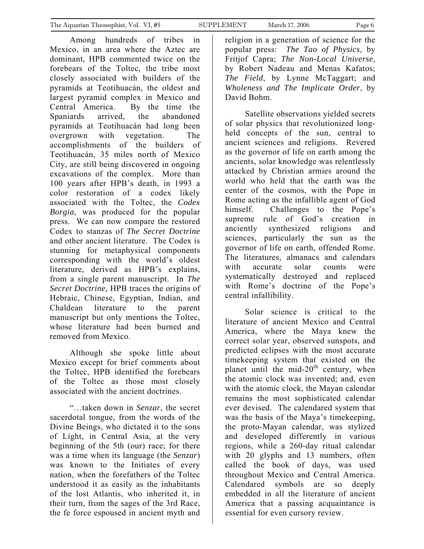Among hundreds of tribes in Mexico, in an area where the Aztec are dominant, HPB commented twice on the forebears of the Toltec, the tribe most closely associated with builders of the pyramids at Teotihuacán, the oldest and largest pyramid complex in Mexico and Central America. By the time the Spaniards arrived, the abandoned pyramids at Teotihuacán had long been overgrown with vegetation. The accomplishments of the builders of Teotihuacán, 35 miles north of Mexico City, are still being discovered in ongoing excavations of the complex. More than 100 years after HPB's death, in 1993 a color restoration of a codex likely associated with the Toltec, the *Codex Borgia*, was produced for the popular press. We can now compare the restored Codex to stanzas of *The Secret Doctrine* and other ancient literature. The Codex is stunning for metaphysical components corresponding with the world's oldest literature, derived as HPB's explains, from a single parent manuscript. In *The Secret Doctrine,* HPB traces the origins of Hebraic, Chinese, Egyptian, Indian, and Chaldean literature to the parent manuscript but only mentions the Toltec, whose literature had been burned and removed from Mexico.

Although she spoke little about Mexico except for brief comments about the Toltec, HPB identified the forebears of the Toltec as those most closely associated with the ancient doctrines.

"…taken down in *Senzar*, the secret sacerdotal tongue, from the words of the Divine Beings, who dictated it to the sons of Light, in Central Asia, at the very beginning of the 5th (our) race; for there was a time when its language (the *Senzar*) was known to the Initiates of every nation, when the forefathers of the Toltec understood it as easily as the inhabitants of the lost Atlantis, who inherited it, in their turn, from the sages of the 3rd Race, the fe force espoused in ancient myth and

religion in a generation of science for the popular press: *The Tao of Physics*, by Fritjof Capra; *The Non-Local Universe*, by Robert Nadeau and Menas Kafatos; *The Field*, by Lynne McTaggart; and *Wholeness and The Implicate Order*, by David Bohm.

Satellite observations yielded secrets of solar physics that revolutionized longheld concepts of the sun, central to ancient sciences and religions. Revered as the governor of life on earth among the ancients, solar knowledge was relentlessly attacked by Christian armies around the world who held that the earth was the center of the cosmos, with the Pope in Rome acting as the infallible agent of God himself. Challenges to the Pope's supreme rule of God's creation in anciently synthesized religions and sciences, particularly the sun as the governor of life on earth, offended Rome. The literatures, almanacs and calendars with accurate solar counts were systematically destroyed and replaced with Rome's doctrine of the Pope's central infallibility.

Solar science is critical to the literature of ancient Mexico and Central America, where the Maya knew the correct solar year, observed sunspots, and predicted eclipses with the most accurate timekeeping system that existed on the planet until the mid- $20<sup>th</sup>$  century, when the atomic clock was invented; and, even with the atomic clock, the Mayan calendar remains the most sophisticated calendar ever devised. The calendared system that was the basis of the Maya's timekeeping, the proto-Mayan calendar, was stylized and developed differently in various regions, while a 260-day ritual calendar with 20 glyphs and 13 numbers, often called the book of days, was used throughout Mexico and Central America. Calendared symbols are so deeply embedded in all the literature of ancient America that a passing acquaintance is essential for even cursory review.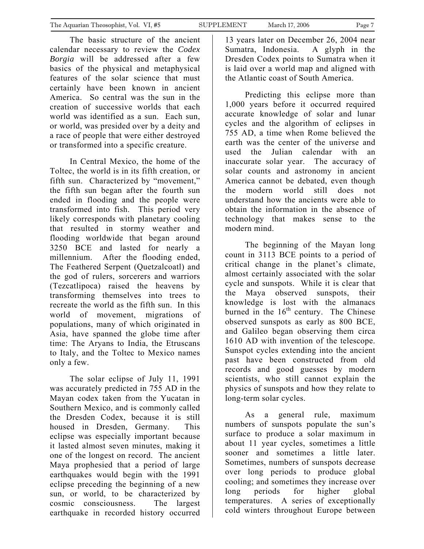The basic structure of the ancient calendar necessary to review the *Codex Borgia* will be addressed after a few basics of the physical and metaphysical features of the solar science that must certainly have been known in ancient America. So central was the sun in the creation of successive worlds that each world was identified as a sun. Each sun, or world, was presided over by a deity and a race of people that were either destroyed or transformed into a specific creature.

In Central Mexico, the home of the Toltec, the world is in its fifth creation, or fifth sun. Characterized by "movement," the fifth sun began after the fourth sun ended in flooding and the people were transformed into fish. This period very likely corresponds with planetary cooling that resulted in stormy weather and flooding worldwide that began around 3250 BCE and lasted for nearly a millennium. After the flooding ended, The Feathered Serpent (Quetzalcoatl) and the god of rulers, sorcerers and warriors (Tezcatlipoca) raised the heavens by transforming themselves into trees to recreate the world as the fifth sun. In this world of movement, migrations of populations, many of which originated in Asia, have spanned the globe time after time: The Aryans to India, the Etruscans to Italy, and the Toltec to Mexico names only a few.

The solar eclipse of July 11, 1991 was accurately predicted in 755 AD in the Mayan codex taken from the Yucatan in Southern Mexico, and is commonly called the Dresden Codex, because it is still housed in Dresden, Germany. This eclipse was especially important because it lasted almost seven minutes, making it one of the longest on record. The ancient Maya prophesied that a period of large earthquakes would begin with the 1991 eclipse preceding the beginning of a new sun, or world, to be characterized by cosmic consciousness. The largest earthquake in recorded history occurred

13 years later on December 26, 2004 near Sumatra, Indonesia. A glyph in the Dresden Codex points to Sumatra when it is laid over a world map and aligned with the Atlantic coast of South America.

Predicting this eclipse more than 1,000 years before it occurred required accurate knowledge of solar and lunar cycles and the algorithm of eclipses in 755 AD, a time when Rome believed the earth was the center of the universe and used the Julian calendar with an inaccurate solar year. The accuracy of solar counts and astronomy in ancient America cannot be debated, even though the modern world still does not understand how the ancients were able to obtain the information in the absence of technology that makes sense to the modern mind.

The beginning of the Mayan long count in 3113 BCE points to a period of critical change in the planet's climate, almost certainly associated with the solar cycle and sunspots. While it is clear that the Maya observed sunspots, their knowledge is lost with the almanacs burned in the  $16<sup>th</sup>$  century. The Chinese observed sunspots as early as 800 BCE, and Galileo began observing them circa 1610 AD with invention of the telescope. Sunspot cycles extending into the ancient past have been constructed from old records and good guesses by modern scientists, who still cannot explain the physics of sunspots and how they relate to long-term solar cycles.

As a general rule, maximum numbers of sunspots populate the sun's surface to produce a solar maximum in about 11 year cycles, sometimes a little sooner and sometimes a little later. Sometimes, numbers of sunspots decrease over long periods to produce global cooling; and sometimes they increase over long periods for higher global temperatures. A series of exceptionally cold winters throughout Europe between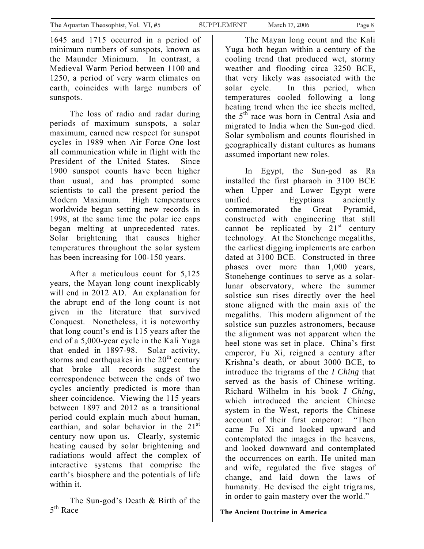The loss of radio and radar during periods of maximum sunspots, a solar maximum, earned new respect for sunspot cycles in 1989 when Air Force One lost all communication while in flight with the President of the United States. Since 1900 sunspot counts have been higher than usual, and has prompted some scientists to call the present period the Modern Maximum. High temperatures worldwide began setting new records in 1998, at the same time the polar ice caps began melting at unprecedented rates. Solar brightening that causes higher temperatures throughout the solar system has been increasing for 100-150 years.

After a meticulous count for 5,125 years, the Mayan long count inexplicably will end in 2012 AD. An explanation for the abrupt end of the long count is not given in the literature that survived Conquest. Nonetheless, it is noteworthy that long count's end is 115 years after the end of a 5,000-year cycle in the Kali Yuga that ended in 1897-98. Solar activity, storms and earthquakes in the  $20<sup>th</sup>$  century that broke all records suggest the correspondence between the ends of two cycles anciently predicted is more than sheer coincidence. Viewing the 115 years between 1897 and 2012 as a transitional period could explain much about human, earthian, and solar behavior in the 21<sup>st</sup> century now upon us. Clearly, systemic heating caused by solar brightening and radiations would affect the complex of interactive systems that comprise the earth's biosphere and the potentials of life within it.

The Sun-god's Death & Birth of the 5<sup>th</sup> Race

The Mayan long count and the Kali Yuga both began within a century of the cooling trend that produced wet, stormy weather and flooding circa 3250 BCE, that very likely was associated with the solar cycle. In this period, when temperatures cooled following a long heating trend when the ice sheets melted, the 5<sup>th</sup> race was born in Central Asia and migrated to India when the Sun-god died. Solar symbolism and counts flourished in geographically distant cultures as humans assumed important new roles.

In Egypt, the Sun-god as Ra installed the first pharaoh in 3100 BCE when Upper and Lower Egypt were unified. Egyptians anciently commemorated the Great Pyramid, constructed with engineering that still cannot be replicated by  $21<sup>st</sup>$  century technology. At the Stonehenge megaliths, the earliest digging implements are carbon dated at 3100 BCE. Constructed in three phases over more than 1,000 years, Stonehenge continues to serve as a solarlunar observatory, where the summer solstice sun rises directly over the heel stone aligned with the main axis of the megaliths. This modern alignment of the solstice sun puzzles astronomers, because the alignment was not apparent when the heel stone was set in place. China's first emperor, Fu Xi, reigned a century after Krishna's death, or about 3000 BCE, to introduce the trigrams of the *I Ching* that served as the basis of Chinese writing. Richard Wilhelm in his book *I Ching*, which introduced the ancient Chinese system in the West, reports the Chinese account of their first emperor: "Then came Fu Xi and looked upward and contemplated the images in the heavens, and looked downward and contemplated the occurrences on earth. He united man and wife, regulated the five stages of change, and laid down the laws of humanity. He devised the eight trigrams, in order to gain mastery over the world."

**The Ancient Doctrine in America**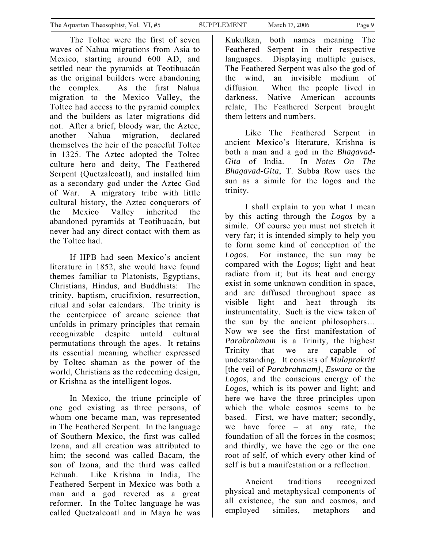The Toltec were the first of seven waves of Nahua migrations from Asia to Mexico, starting around 600 AD, and settled near the pyramids at Teotihuacán as the original builders were abandoning the complex. As the first Nahua migration to the Mexico Valley, the Toltec had access to the pyramid complex and the builders as later migrations did not. After a brief, bloody war, the Aztec, another Nahua migration, declared themselves the heir of the peaceful Toltec in 1325. The Aztec adopted the Toltec culture hero and deity, The Feathered Serpent (Quetzalcoatl), and installed him as a secondary god under the Aztec God of War. A migratory tribe with little cultural history, the Aztec conquerors of the Mexico Valley inherited the abandoned pyramids at Teotihuacán, but never had any direct contact with them as the Toltec had.

If HPB had seen Mexico's ancient literature in 1852, she would have found themes familiar to Platonists, Egyptians, Christians, Hindus, and Buddhists: The trinity, baptism, crucifixion, resurrection, ritual and solar calendars. The trinity is the centerpiece of arcane science that unfolds in primary principles that remain recognizable despite untold cultural permutations through the ages. It retains its essential meaning whether expressed by Toltec shaman as the power of the world, Christians as the redeeming design, or Krishna as the intelligent logos.

In Mexico, the triune principle of one god existing as three persons, of whom one became man, was represented in The Feathered Serpent. In the language of Southern Mexico, the first was called Izona, and all creation was attributed to him; the second was called Bacam, the son of Izona, and the third was called Echuah. Like Krishna in India, The Feathered Serpent in Mexico was both a man and a god revered as a great reformer. In the Toltec language he was called Quetzalcoatl and in Maya he was

Kukulkan, both names meaning The Feathered Serpent in their respective languages. Displaying multiple guises, The Feathered Serpent was also the god of the wind, an invisible medium of diffusion. When the people lived in darkness, Native American accounts relate, The Feathered Serpent brought them letters and numbers.

Like The Feathered Serpent in ancient Mexico's literature, Krishna is both a man and a god in the *Bhagavad-Gita* of India. In *Notes On The Bhagavad-Gita*, T. Subba Row uses the sun as a simile for the logos and the trinity.

I shall explain to you what I mean by this acting through the *Logos* by a simile. Of course you must not stretch it very far; it is intended simply to help you to form some kind of conception of the *Logos*. For instance, the sun may be compared with the *Logos*; light and heat radiate from it; but its heat and energy exist in some unknown condition in space, and are diffused throughout space as visible light and heat through its instrumentality. Such is the view taken of the sun by the ancient philosophers… Now we see the first manifestation of *Parabrahmam* is a Trinity, the highest Trinity that we are capable of understanding. It consists of *Mulaprakriti* [the veil of *Parabrahmam]*, *Eswara* or the *Logos*, and the conscious energy of the *Logos*, which is its power and light; and here we have the three principles upon which the whole cosmos seems to be based. First, we have matter; secondly, we have force – at any rate, the foundation of all the forces in the cosmos; and thirdly, we have the ego or the one root of self, of which every other kind of self is but a manifestation or a reflection.

Ancient traditions recognized physical and metaphysical components of all existence, the sun and cosmos, and employed similes, metaphors and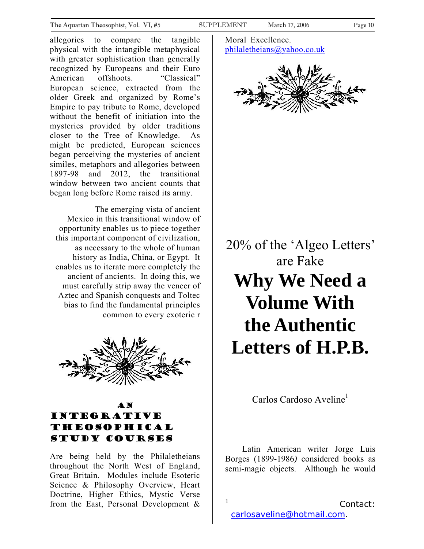<span id="page-9-0"></span>allegories to compare the tangible physical with the intangible metaphysical with greater sophistication than generally recognized by Europeans and their Euro American offshoots. "Classical" European science, extracted from the older Greek and organized by Rome's Empire to pay tribute to Rome, developed without the benefit of initiation into the mysteries provided by older traditions closer to the Tree of Knowledge. As might be predicted, European sciences began perceiving the mysteries of ancient similes, metaphors and allegories between 1897-98 and 2012, the transitional window between two ancient counts that began long before Rome raised its army.

The emerging vista of ancient Mexico in this transitional window of opportunity enables us to piece together this important component of civilization, as necessary to the whole of human history as India, China, or Egypt. It enables us to iterate more completely the ancient of ancients. In doing this, we must carefully strip away the veneer of Aztec and Spanish conquests and Toltec bias to find the fundamental principles common to every exoteric r



## AN Integrative theosophical study courses

Are being held by the Philaletheians throughout the North West of England, Great Britain. Modules include Esoteric Science & Philosophy Overview, Heart Doctrine, Higher Ethics, Mystic Verse from the East, Personal Development & Moral Excellence. [philaletheians@yahoo.co.uk](mailto:philaletheians@yahoo.co.uk)



20% of the 'Algeo Letters' are Fake **Why We Need a Volume With the Authentic Letters of H.P.B.** 

Carlos Cardoso Aveline<sup>[1](#page-9-1)</sup>

Latin American writer Jorge Luis Borges (1899-1986*)* considered books as semi-magic objects. Although he would

 1

```
 Contact:
carlosaveline@hotmail.com.
```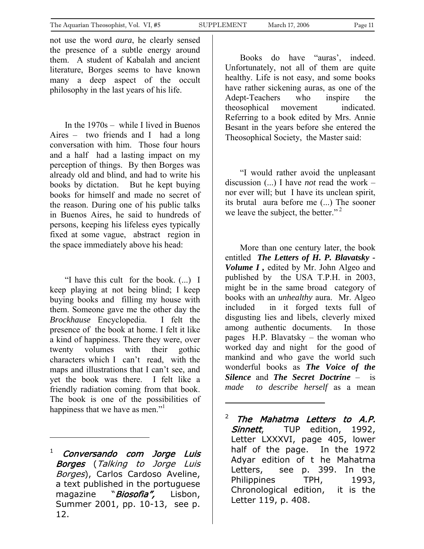not use the word *aura*, he clearly sensed the presence of a subtle energy around them. A student of Kabalah and ancient literature, Borges seems to have known many a deep aspect of the occult philosophy in the last years of his life.

 In the 1970s – while I lived in Buenos Aires – two friends and I had a long conversation with him. Those four hours and a half had a lasting impact on my perception of things. By then Borges was already old and blind, and had to write his books by dictation. But he kept buying books for himself and made no secret of the reason. During one of his public talks in Buenos Aires, he said to hundreds of persons, keeping his lifeless eyes typically fixed at some vague, abstract region in the space immediately above his head:

 "I have this cult for the book. (...) I keep playing at not being blind; I keep buying books and filling my house with them. Someone gave me the other day the *Brockhause* Encyclopedia. I felt the presence of the book at home. I felt it like a kind of happiness. There they were, over twenty volumes with their gothic characters which I can't read, with the maps and illustrations that I can't see, and yet the book was there. I felt like a friendly radiation coming from that book. The book is one of the possibilities of happiness that we have as men."<sup>[1](#page-10-0)</sup>

 Books do have "auras', indeed. Unfortunately, not all of them are quite healthy. Life is not easy, and some books have rather sickening auras, as one of the Adept-Teachers who inspire the theosophical movement indicated. Referring to a book edited by Mrs. Annie Besant in the years before she entered the Theosophical Society, the Master said:

 "I would rather avoid the unpleasant discussion (...) I have *not* read the work – nor ever will; but I have its unclean spirit, its brutal aura before me (...) The sooner weleave the subject, the better."<sup>2</sup>

 More than one century later, the book entitled *The Letters of H. P. Blavatsky - Volume I ,* edited by Mr. John Algeo and published by the USA T.P.H. in 2003, might be in the same broad category of books with an *unhealthy* aura. Mr. Algeo included in it forged texts full of disgusting lies and libels, cleverly mixed among authentic documents. In those pages H.P. Blavatsky – the woman who worked day and night for the good of mankind and who gave the world such wonderful books as *The Voice of the Silence* and *The Secret Doctrine* – is *made to describe herself* as a mean

<span id="page-10-1"></span> $2$  The Mahatma Letters to A.P. Sinnett, TUP edition, 1992, Letter LXXXVI, page 405, lower half of the page. In the 1972 Adyar edition of t he Mahatma Letters, see p. 399. In the Philippines TPH, 1993, Chronological edition, it is the Letter 119, p. 408.

<span id="page-10-0"></span>magazine "*Biosofia",* Lisbon,  $1$  Conversando com Jorge Luis Borges (Talking to Jorge Luis Borges), Carlos Cardoso Aveline, a text published in the portuguese Summer 2001, pp. 10-13, see p. 12.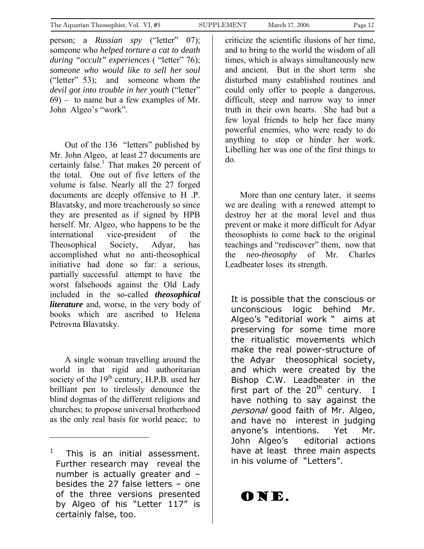person; a *Russian spy* ("letter" 07); someone who *helped torture a cat to death during "occult" experiences* ( "letter" 76); *someone who would like to sell her soul* ("letter" 53); and someone whom *the devil got into trouble in her youth* ("letter" 69) – to name but a few examples of Mr. John Algeo's "work".

 Out of the 136 "letters" published by Mr. John Algeo, at least 27 documents are certainly false.<sup>[1](#page-11-0)</sup> That makes 20 percent of the total. One out of five letters of the volume is false. Nearly all the 27 forged documents are deeply offensive to H .P. Blavatsky, and more treacherously so since they are presented as if signed by HPB herself. Mr. Algeo, who happens to be the international vice-president of the Theosophical Society, Adyar, has accomplished what no anti-theosophical initiative had done so far: a serious, partially successful attempt to have the worst falsehoods against the Old Lady included in the so-called *theosophical literature* and, worse, in the very body of books which are ascribed to Helena Petrovna Blavatsky.

 A single woman travelling around the world in that rigid and authoritarian society of the  $19<sup>th</sup>$  century, H.P.B. used her brilliant pen to tirelessly denounce the blind dogmas of the different religions and churches; to propose universal brotherhood as the only real basis for world peace; to

 $\overline{a}$ 

criticize the scientific ilusions of her time, and to bring to the world the wisdom of all times, which is always simultaneously new and ancient. But in the short term she disturbed many established routines and could only offer to people a dangerous, difficult, steep and narrow way to inner truth in their own hearts. She had but a few loyal friends to help her face many powerful enemies, who were ready to do anything to stop or hinder her work. Libelling her was one of the first things to do.

 More than one century later, it seems we are dealing with a renewed attempt to destroy her at the moral level and thus prevent or make it more difficult for Adyar theosophists to come back to the original teachings and "rediscover" them, now that the *neo-theosophy* of Mr. Charles Leadbeater loses its strength.

It is possible that the conscious or unconscious logic behind Mr. Algeo's "editorial work " aims at preserving for some time more the ritualistic movements which make the real power-structure of the Adyar theosophical society, and which were created by the Bishop C.W. Leadbeater in the first part of the  $20<sup>th</sup>$  century. I have nothing to say against the personal good faith of Mr. Algeo, and have no interest in judging anyone's intentions. Yet Mr. John Algeo's editorial actions have at least three main aspects in his volume of "Letters".

ONE.

<span id="page-11-0"></span><sup>1</sup> This is an initial assessment. Further research may reveal the number is actually greater and – besides the 27 false letters – one of the three versions presented by Algeo of his "Letter 117" is certainly false, too.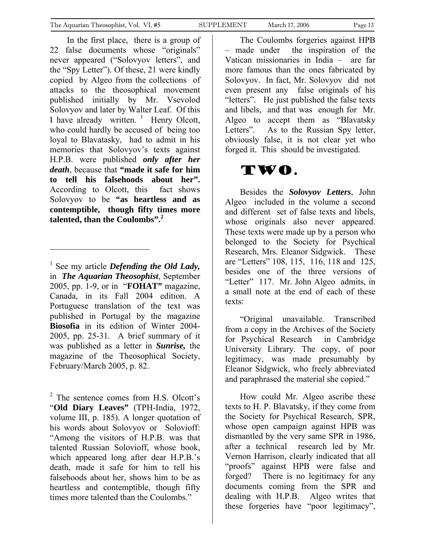In the first place, there is a group of 22 false documents whose "originals" never appeared ("Solovyov letters", and the "Spy Letter"). Of these, 21 were kindly copied by Algeo from the collections of attacks to the theosophical movement published initially by Mr. Vsevolod Solovyov and later by Walter Leaf. Of this Ihave already written.  $\frac{1}{1}$  Henry Olcott, who could hardly be accused of being too loyal to Blavatasky, had to admit in his memories that Solovyov's texts against H.P.B. were published *only after her death*, because that **"made it safe for him to tell his falsehoods about her".**  According to Olcott, this fact shows Solovyov to be **"as heartless and as contemptible, though fifty times more talented, than the Coulombs".<sup>2</sup>** 

l

<span id="page-12-1"></span><sup>2</sup> The sentence comes from H.S. Olcott's "**Old Diary Leaves"** (TPH-India, 1972, volume III, p. 185). A longer quotation of his words about Solovyov or Solovioff: "Among the visitors of H.P.B. was that talented Russian Solovioff, whose book, which appeared long after dear H.P.B.'s death, made it safe for him to tell his falsehoods about her, shows him to be as heartless and contemptible, though fifty times more talented than the Coulombs."

The Coulombs forgeries against HPB – made under the inspiration of the Vatican missionaries in India – are far more famous than the ones fabricated by Solovyov. In fact, Mr. Solovyov did not even present any false originals of his "letters". He just published the false texts and libels, and that was enough for Mr. Algeo to accept them as "Blavatsky Letters". As to the Russian Spy letter,

obviously false, it is not clear yet who forged it. This should be investigated.

# Two.

 Besides the *Solovyov Letters*, John Algeo included in the volume a second and different set of false texts and libels, whose originals also never appeared. These texts were made up by a person who belonged to the Society for Psychical Research, Mrs. Eleanor Sidgwick. These are "Letters" 108, 115, 116, 118 and 125, besides one of the three versions of "Letter" 117. Mr. John Algeo admits, in a small note at the end of each of these texts:

 "Original unavailable. Transcribed from a copy in the Archives of the Society for Psychical Research in Cambridge University Library. The copy, of poor legitimacy, was made presumably by Eleanor Sidgwick, who freely abbreviated and paraphrased the material she copied."

 How could Mr. Algeo ascribe these texts to H. P. Blavatsky, if they come from the Society for Psychical Research, SPR, whose open campaign against HPB was dismantled by the very same SPR in 1986, after a technical research led by Mr. Vernon Harrison, clearly indicated that all "proofs" against HPB were false and forged? There is no legitimacy for any documents coming from the SPR and dealing with H.P.B. Algeo writes that these forgeries have "poor legitimacy",

<span id="page-12-0"></span><sup>&</sup>lt;sup>1</sup> See my article *Defending the Old Lady*, in *The Aquarian Theosophist*, September 2005, pp. 1-9, or in "**FOHAT"** magazine, Canada, in its Fall 2004 edition. A Portuguese translation of the text was published in Portugal by the magazine **Biosofia** in its edition of Winter 2004- 2005, pp. 25-31. A brief summary of it was published as a letter in *Sunrise,* the magazine of the Theosophical Society, February/March 2005, p. 82.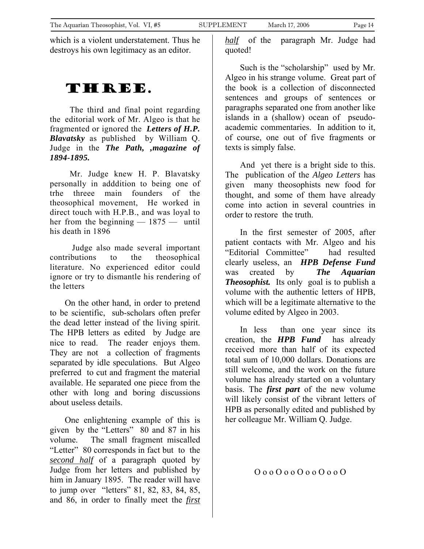which is a violent understatement. Thus he destroys his own legitimacy as an editor.

# THREE.

The third and final point regarding the editorial work of Mr. Algeo is that he fragmented or ignored the *Letters of H.P. Blavatsky* as published by William Q. Judge in the *The Path, ,magazine of 1894-1895.*

Mr. Judge knew H. P. Blavatsky personally in adddition to being one of trhe threee main founders of the theosophical movement, He worked in direct touch with H.P.B., and was loyal to her from the beginning — 1875 — until his death in 1896

 Judge also made several important contributions to the theosophical literature. No experienced editor could ignore or try to dismantle his rendering of the letters

 On the other hand, in order to pretend to be scientific, sub-scholars often prefer the dead letter instead of the living spirit. The HPB letters as edited by Judge are nice to read. The reader enjoys them. They are not a collection of fragments separated by idle speculations. But Algeo preferred to cut and fragment the material available. He separated one piece from the other with long and boring discussions about useless details.

 One enlightening example of this is given by the "Letters" 80 and 87 in his volume. The small fragment miscalled "Letter" 80 corresponds in fact but to the *second half* of a paragraph quoted by Judge from her letters and published by him in January 1895. The reader will have to jump over "letters" 81, 82, 83, 84, 85, and 86, in order to finally meet the *first* *half* of the paragraph Mr. Judge had quoted!

 Such is the "scholarship" used by Mr. Algeo in his strange volume. Great part of the book is a collection of disconnected sentences and groups of sentences or paragraphs separated one from another like islands in a (shallow) ocean of pseudoacademic commentaries. In addition to it, of course, one out of five fragments or texts is simply false.

 And yet there is a bright side to this. The publication of the *Algeo Letters* has given many theosophists new food for thought, and some of them have already come into action in several countries in order to restore the truth.

 In the first semester of 2005, after patient contacts with Mr. Algeo and his "Editorial Committee" had resulted clearly useless, an *HPB Defense Fund* was created by *The Aquarian Theosophist.* Its only goal is to publish a volume with the authentic letters of HPB, which will be a legitimate alternative to the volume edited by Algeo in 2003.

 In less than one year since its creation, the *HPB Fund* has already received more than half of its expected total sum of 10,000 dollars. Donations are still welcome, and the work on the future volume has already started on a voluntary basis. The *first part* of the new volume will likely consist of the vibrant letters of HPB as personally edited and published by her colleague Mr. William Q. Judge.

O o o O o o O o o O o o O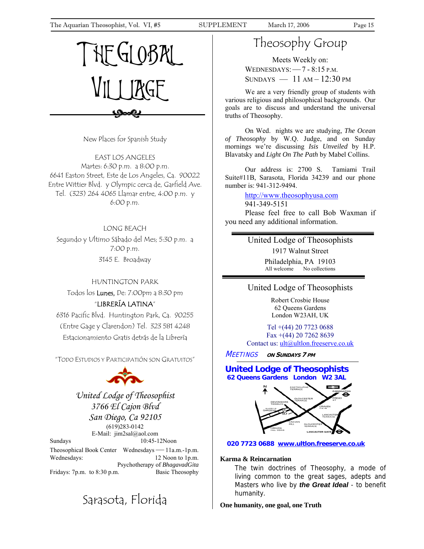<span id="page-14-0"></span>The Aquarian Theosophist, Vol. VI, #5 SUPPLEMENT March 17, 2006 Page 15



New Places for Spanish Study

EAST LOS ANGELES Martes: 6:30 p.m. a 8:00 p.m. 6641 Easton Street, Este de Los Angeles, Ca. 90022 Entre Wittier Blvd. y Olympic cerca de, Garfield Ave. Tel. (323) 264 4065 Llamar entre, 4:00 p.m. y 6:00 p.m.

#### LONG BEACH

Segundo y Ultimo Sábado del Mes; 5:30 p.m. a 7:00 p.m. 3145 E. Broadway

#### HUNTINGTON PARK

Todos los Lunes, De: 7:00pm a 8:30 pm

## "LIBRERÍA LATINA"

6316 Pacific Blvd. Huntington Park, Ca. 90255 (Entre Gage y Clarendon) Tel. 323 581 4248 Estacionamiento Gratis detrás de la Librería

"TODO ESTUDIOS Y PARTICIPATIÓN SON GRATUITOS"



*United Lodge of Theosophist 3766 El Cajon Blvd San Diego, Ca 92105*  (619)283-0142 E-Mail: jim2sal@aol.com Sundays 10:45-12Noon

Theosophical Book Center Wednesdays—11a.m.-1p.m. Wednesdays: 12 Noon to 1p.m. Psychotherapy of *BhagavadGita* Fridays: 7p.m. to 8:30 p.m. Basic Theosophy

# Sarasota, Florida

# Theosophy Group

Meets Weekly on: WEDNESDAYS:—7 - 8:15 P.M.  $SUNDAYS$  — 11  $AM - 12:30 \text{ PM}$ 

We are a very friendly group of students with various religious and philosophical backgrounds. Our goals are to discuss and understand the universal truths of Theosophy.

On Wed. nights we are studying, *The Ocean of Theosophy* by W.Q. Judge, and on Sunday mornings we're discussing *Isis Unveiled* by H.P. Blavatsky and *Light On The Path* by Mabel Collins.

Our address is: 2700 S. Tamiami Trail Suite#11B, Sarasota, Florida 34239 and our phone number is: 941-312-9494.

> http://www.theosophyusa.com 941-349-5151

Please feel free to call Bob Waxman if you need any additional information.

> United Lodge of Theosophists 1917 Walnut Street Philadelphia, PA 19103 All welcome No collections

#### United Lodge of Theosophists

Robert Crosbie House 62 Queens Gardens London W23AH, UK

Tel +(44) 20 7723 0688 Fax +(44) 20 7262 8639 Contact us: [ult@ultlon.freeserve.co.uk](mailto:ult@ultlon.freeserve.co.uk)

MEETINGS **ON SUNDAYS 7 PM**

#### **United Lodge of Theosophists 62 Queens Gardens London W2 3AL**

j



#### **020 7723 0688 www.ultlon.freeserve.co.uk**

#### **Karma & Reincarnation**

The twin doctrines of Theosophy, a mode of living common to the great sages, adepts and Masters who live by *the Great Ideal* - to benefit humanity.

**One humanity, one goal, one Truth**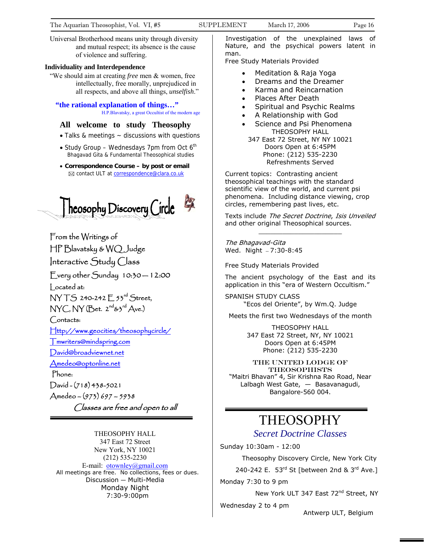Universal Brotherhood means unity through diversity and mutual respect; its absence is the cause of violence and suffering.

#### **Individuality and Interdependence**

"We should aim at creating *free* men & women, free intellectually, free morally, unprejudiced in all respects, and above all things, *unselfish*."

#### **"the rational explanation of things…"** H.P.Blavatsky, a great Occultist of the modern age

#### **All welcome to study Theosophy**

- Talks & meetings ~ discussions with questions
- Study Group Wednesdays 7pm from Oct  $6<sup>th</sup>$ Bhagavad Gita & Fundamental Theosophical studies
- **Correspondence Course by post or email**  $\boxtimes$  contact ULT at **correspondence@clara.co.uk**



From the Writings of HP Blavatsky & WQ Judge Interactive Study Class

Every other  $S$ unday  $10:30 - 12:00$ 

Located at:

NY TS 240-242 E 53rd Street,  $NYC, NY$  (Bet.  $2^{nd}$ & $3^{rd}$  Ave.)

Contacts:

[Http://www.geocities/theosophycircle/](http://www.geocities/theosophycircle/) 

[Tmwriters@mindspring.com](mailto:Tmwriters@mindspring.com)

[David@broadviewnet.net](mailto:David@broadviewnet.net)

[Amedeo@optonline.net](mailto:Amedeo@optonline.net) 

Phone:

David - (718) 438-5021 Amedeo – (973) 697 – 5938 Classes are free and open to all

THEOSOPHY HALL 347 East 72 Street New York, NY 10021 (212) 535-2230 E-mail: [otownley@gmail.com](mailto:Uotownley@gmail.comU) All meetings are free. No collections, fees or dues. Discussion — Multi-Media Monday Night 7:30-9:00pm

Investigation of the unexplained laws of Nature, and the psychical powers latent in man.

Free Study Materials Provided

- Meditation & Raja Yoga
- Dreams and the Dreamer
- Karma and Reincarnation
- Places After Death
- Spiritual and Psychic Realms
- A Relationship with God
- Science and Psi Phenomena THEOSOPHY HALL
- 347 East 72 Street, NY NY 10021 Doors Open at 6:45PM Phone: (212) 535-2230 Refreshments Served

Current topics: Contrasting ancient theosophical teachings with the standard scientific view of the world, and current psi phenomena. Including distance viewing, crop circles, remembering past lives, etc.

Texts include The Secret Doctrine, Isis Unveiled and other original Theosophical sources.  $\_$ 

The Bhagavad-Gita Wed. Night — 7:30-8:45

Free Study Materials Provided

The ancient psychology of the East and its application in this "era of Western Occultism."

SPANISH STUDY CLASS "Ecos del Oriente", by Wm.Q. Judge

Meets the first two Wednesdays of the month

THEOSOPHY HALL 347 East 72 Street, NY, NY 10021 Doors Open at 6:45PM Phone: (212) 535-2230

THE United Lodge of **THEOSOPHISTS** "Maitri Bhavan" 4, Sir Krishna Rao Road, Near Lalbagh West Gate, — Basavanagudi, Bangalore-560 004.

# THEOSOPHY

## *Secret Doctrine Classes*

Sunday 10:30am - 12:00

Theosophy Discovery Circle, New York City

240-242 E.  $53<sup>rd</sup>$  St [between 2nd &  $3<sup>rd</sup>$  Ave.]

Monday 7:30 to 9 pm

New York ULT 347 East 72<sup>nd</sup> Street, NY

Wednesday 2 to 4 pm

Antwerp ULT, Belgium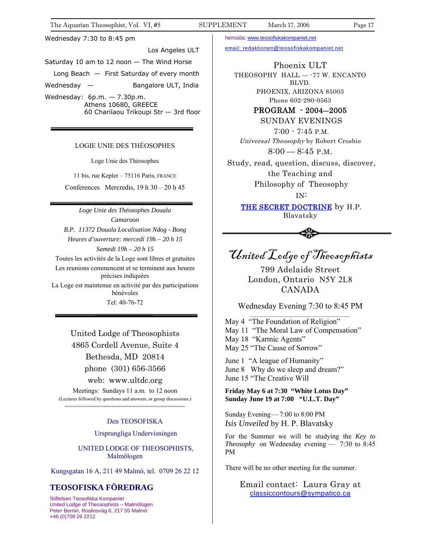#### Wednesday 7:30 to 8:45 pm

Los Angeles ULT

Saturday 10 am to 12 noon — The Wind Horse

Long Beach — First Saturday of every month

Wednesday — Bangalore ULT, India

Wednesday: 6p.m. — 7.30p.m. Athens 10680, GREECE 60 Charilaou Trikoupi Str — 3rd floor

#### LOGIE UNIE DES THÉOSOPHES

Loge Unie des Théosophes

11 bis, rue Kepler – 75116 Paris, FRANCE

Conferences Mercredis, 19 h 30 – 20 h 45

*Loge Unie des Théosophes Douala Camaroon B.P. 11372 Douala Localisation Ndog - Bong Heures d'ouverture: mercedi 19h – 20 h 15 Samedi 19h – 20 h 15*  Toutes les activités de la Loge sont libres et gratuites Les reunions commencent et se terminent aux heures précises indiquées La Loge est maintenue en activité par des participations bénévoles Tel: 40-76-72

United Lodge of Theosophists 4865 Cordell Avenue, Suite 4 Bethesda, MD 20814 phone (301) 656-3566 web: www.ultdc.org Meetings: Sundays 11 a.m. to 12 noon (Lectures followed by questions and answers, or group discussions.) ============================================

#### Den TEOSOFISKA

Ursprungliga Undervisningen

 UNITED LODGE OF THEOSOPHISTS, Malmölogen

Kungsgatan 16 A, 211 49 Malmö, tel. 0709 26 22 12

## **TEOSOFISKA FÖREDRAG**

Stiftelsen Teosofiska Kompaniet United Lodge of Theosophists – Malmölogen Peter Bernin, Roslinsväg 6, 217 55 Malmö +46 (0)709 26 2212

hemsida: [www.t](http://www.teosofiskakompaniet.net/)eosofiskakompaniet.net

[email: redaktionen@teosofiskakompaniet.net](http://www.teosofiskakompaniet.net/)

Phoenix ULT THEOSOPHY HALL -- 77 W. ENCANTO BLVD. PHOENIX, ARIZONA 85003 Phone 602-290-0563

PROGRAM - 2004―2005

SUNDAY EVENINGS

 7:00 - 7:45 P.M. Universal Theosophy by Robert Crosbie  $8:00-8:45$  P.M.

Study, read, question, discuss, discover, the Teaching and

 Philosophy of Theosophy IN:

THE SECRET DOCTRINE by H.P. Blavatsky



# United Lodge of Theosophists

799 Adelaide Street London, Ontario N5Y 2L8 CANADA

Wednesday Evening 7:30 to 8:45 PM \_\_\_\_\_\_\_\_\_\_\_\_\_\_\_\_\_\_\_\_\_\_\_\_\_\_\_\_\_\_\_\_\_\_\_\_

May 4 "The Foundation of Religion" May 11 "The Moral Law of Compensation" May 18 "Karmic Agents" May 25 "The Cause of Sorrow"

June 1 "A league of Humanity" June 8 Why do we sleep and dream?" June 15 "The Creative Will

**Friday May 6 at 7:30 "White Lotus Day" Sunday June 19 at 7:00 "U.L.T. Day"** 

Sunday Evening—7:00 to 8:00 PM *Isis Unveiled* by H. P. Blavatsky

For the Summer we will be studying the *Key to Theosophy* on Wednesday evening — 7:30 to 8:45 PM

There will be no other meeting for the summer.

Email contact: Laura Gray at [classiccontours@sympatico.ca](mailto:classiccontours@sympatico.ca)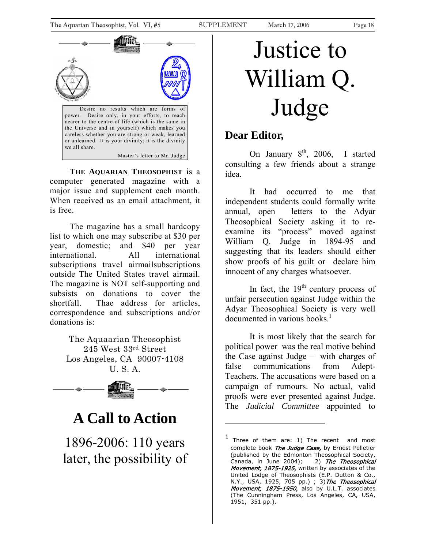<span id="page-17-0"></span>

**THE AQUARIAN THEOSOPHIST** is a computer generated magazine with a major issue and supplement each month. When received as an email attachment, it is free.

The magazine has a small hardcopy list to which one may subscribe at \$30 per year, domestic; and \$40 per year international. All international subscriptions travel airmailsubscriptions outside The United States travel airmail. The magazine is NOT self-supporting and subsists on donations to cover the shortfall. Thae address for articles, correspondence and subscriptions and/or donations is:

> The Aquaarian Theosophist 245 West 33rd Street Los Angeles, CA 90007-4108 U. S. A.



# **A Call to Action**

1896-2006: 110 years later, the possibility of

# Justice to William Q. Judge

# **Dear Editor,**

On January  $8<sup>th</sup>$ , 2006, I started consulting a few friends about a strange idea.

It had occurred to me that independent students could formally write annual, open letters to the Adyar Theosophical Society asking it to reexamine its "process" moved against William Q. Judge in 1894-95 and suggesting that its leaders should either show proofs of his guilt or declare him innocent of any charges whatsoever.

In fact, the  $19<sup>th</sup>$  century process of unfair persecution against Judge within the Adyar Theosophical Society is very well documented in various books $<sup>1</sup>$  $<sup>1</sup>$  $<sup>1</sup>$ </sup>

It is most likely that the search for political power was the real motive behind the Case against Judge – with charges of false communications from Adept-Teachers. The accusations were based on a campaign of rumours. No actual, valid proofs were ever presented against Judge. The *Judicial Committee* appointed to

<span id="page-17-1"></span><sup>1</sup> Three of them are: 1) The recent and most complete book The Judge Case, by Ernest Pelletier (published by the Edmonton Theosophical Society, Canada, in June 2004); 2) The Theosophical Movement, 1875-1925, written by associates of the United Lodge of Theosophists (E.P. Dutton & Co., N.Y., USA, 1925, 705 pp.) ; 3) The Theosophical Movement, 1875-1950, also by U.L.T. associates (The Cunningham Press, Los Angeles, CA, USA, 1951, 351 pp.).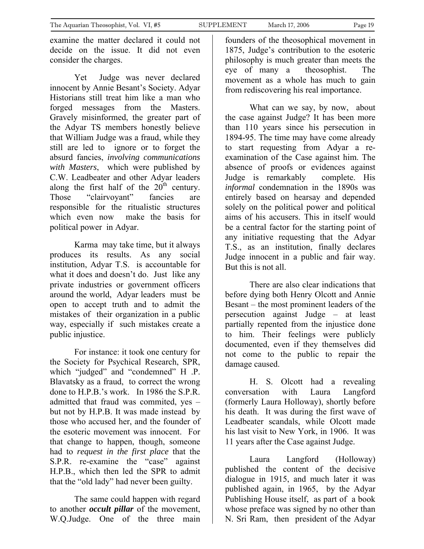examine the matter declared it could not decide on the issue. It did not even consider the charges.

Yet Judge was never declared innocent by Annie Besant's Society. Adyar Historians still treat him like a man who forged messages from the Masters. Gravely misinformed, the greater part of the Adyar TS members honestly believe that William Judge was a fraud, while they still are led to ignore or to forget the absurd fancies, *involving communications with Masters*, which were published by C.W. Leadbeater and other Adyar leaders along the first half of the  $20<sup>th</sup>$  century. Those "clairvoyant" fancies are responsible for the ritualistic structures which even now make the basis for political power in Adyar.

Karma may take time, but it always produces its results. As any social institution, Adyar T.S. is accountable for what it does and doesn't do. Just like any private industries or government officers around the world, Adyar leaders must be open to accept truth and to admit the mistakes of their organization in a public way, especially if such mistakes create a public injustice.

For instance: it took one century for the Society for Psychical Research, SPR, which "judged" and "condemned" H .P. Blavatsky as a fraud, to correct the wrong done to H.P.B.'s work. In 1986 the S.P.R. admitted that fraud was commited, yes – but not by H.P.B. It was made instead by those who accused her, and the founder of the esoteric movement was innocent. For that change to happen, though, someone had to *request in the first place* that the S.P.R. re-examine the "case" against H.P.B., which then led the SPR to admit that the "old lady" had never been guilty.

The same could happen with regard to another *occult pillar* of the movement, W.Q.Judge. One of the three main

What can we say, by now, about the case against Judge? It has been more than 110 years since his persecution in 1894-95. The time may have come already to start requesting from Adyar a reexamination of the Case against him. The absence of proofs or evidences against Judge is remarkably complete. His *informal* condemnation in the 1890s was entirely based on hearsay and depended solely on the political power and political aims of his accusers. This in itself would be a central factor for the starting point of any initiative requesting that the Adyar T.S., as an institution, finally declares Judge innocent in a public and fair way. But this is not all.

There are also clear indications that before dying both Henry Olcott and Annie Besant – the most prominent leaders of the persecution against Judge – at least partially repented from the injustice done to him. Their feelings were publicly documented, even if they themselves did not come to the public to repair the damage caused.

H. S. Olcott had a revealing conversation with Laura Langford (formerly Laura Holloway), shortly before his death. It was during the first wave of Leadbeater scandals, while Olcott made his last visit to New York, in 1906. It was 11 years after the Case against Judge.

Laura Langford (Holloway) published the content of the decisive dialogue in 1915, and much later it was published again, in 1965, by the Adyar Publishing House itself, as part of a book whose preface was signed by no other than N. Sri Ram, then president of the Adyar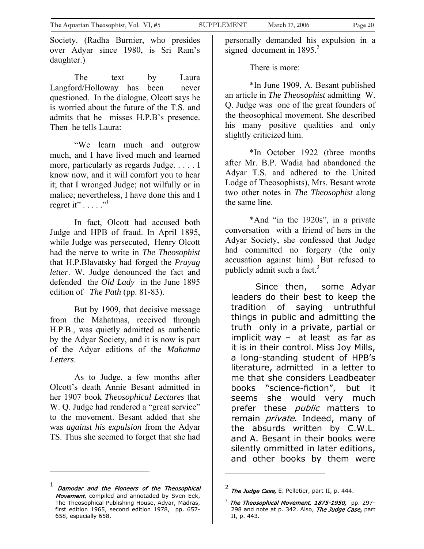Society. (Radha Burnier, who presides over Adyar since 1980, is Sri Ram's daughter.)

The text by Laura Langford/Holloway has been never questioned. In the dialogue, Olcott says he is worried about the future of the T.S. and admits that he misses H.P.B's presence. Then he tells Laura:

"We learn much and outgrow much, and I have lived much and learned more, particularly as regards Judge. . . . . I know now, and it will comfort you to hear it; that I wronged Judge; not wilfully or in malice; nevertheless, I have done this and I regret it"  $\dots$  ."

In fact, Olcott had accused both Judge and HPB of fraud. In April 1895, while Judge was persecuted, Henry Olcott had the nerve to write in *The Theosophist*  that H.P.Blavatsky had forged the *Prayag letter*. W. Judge denounced the fact and defended the *Old Lady* in the June 1895 edition of *The Path* (pp. 81-83).

But by 1909, that decisive message from the Mahatmas, received through H.P.B., was quietly admitted as authentic by the Adyar Society, and it is now is part of the Adyar editions of the *Mahatma Letters*.

As to Judge, a few months after Olcott's death Annie Besant admitted in her 1907 book *Theosophical Lectures* that W. Q. Judge had rendered a "great service" to the movement. Besant added that she was *against his expulsion* from the Adyar TS. Thus she seemed to forget that she had

 $\overline{a}$ 

personally demanded his expulsion in a signed document in  $1895.<sup>2</sup>$  $1895.<sup>2</sup>$  $1895.<sup>2</sup>$ 

There is more:

\*In June 1909, A. Besant published an article in *The Theosophist* admitting W. Q. Judge was one of the great founders of the theosophical movement. She described his many positive qualities and only slightly criticized him.

\*In October 1922 (three months after Mr. B.P. Wadia had abandoned the Adyar T.S. and adhered to the United Lodge of Theosophists), Mrs. Besant wrote two other notes in *The Theosophist* along the same line.

\*And "in the 1920s", in a private conversation with a friend of hers in the Adyar Society, she confessed that Judge had committed no forgery (the only accusation against him). But refused to publicly admit such a fact. $3$ 

Since then, some Adyar leaders do their best to keep the tradition of saying untruthful things in public and admitting the truth only in a private, partial or implicit way – at least as far as it is in their control. Miss Joy Mills, a long-standing student of HPB's literature, admitted in a letter to me that she considers Leadbeater books "science-fiction", but it seems she would very much prefer these *public* matters to remain *private*. Indeed, many of the absurds written by C.W.L. and A. Besant in their books were silently ommitted in later editions, and other books by them were

<span id="page-19-0"></span>Damodar and the Pioneers of the Theosophical Movement, compiled and annotaded by Sven Eek, The Theosophical Publishing House, Adyar, Madras, first edition 1965, second edition 1978, pp. 657- 658, especially 658.

<span id="page-19-1"></span> $^2$  The Judge Case, E. Pelletier, part II, p. 444.

<span id="page-19-2"></span> $3$  The Theosophical Movement, 1875-1950, pp. 297-298 and note at p. 342. Also, The Judge Case, part II, p. 443.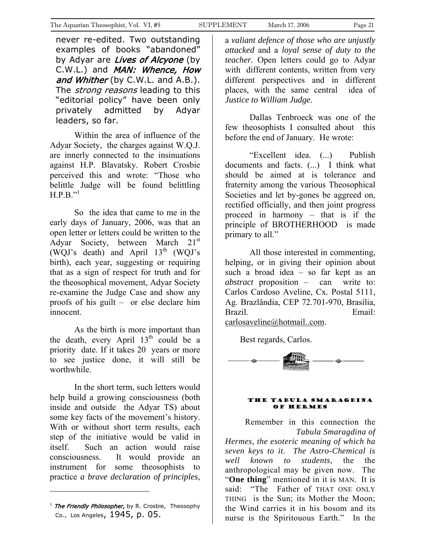<span id="page-20-0"></span>never re-edited. Two outstanding examples of books "abandoned" by Adyar are Lives of Alcyone (by C.W.L.) and MAN: Whence, How and Whither (by C.W.L. and A.B.). The *strong reasons* leading to this "editorial policy" have been only privately admitted by Adyar leaders, so far.

Within the area of influence of the Adyar Society, the charges against W.Q.J. are innerly connected to the insinuations against H.P. Blavatsky. Robert Crosbie perceived this and wrote: "Those who belittle Judge will be found belittling  $H.P.B.$ <sup>"[1](#page-20-1)</sup>

So the idea that came to me in the early days of January, 2006, was that an open letter or letters could be written to the Adyar Society, between March 21<sup>st</sup> (WQJ's death) and April  $13<sup>th</sup>$  (WQJ's birth), each year, suggesting or requiring that as a sign of respect for truth and for the theosophical movement, Adyar Society re-examine the Judge Case and show any proofs of his guilt – or else declare him innocent.

As the birth is more important than the death, every April  $13<sup>th</sup>$  could be a priority date. If it takes 20 years or more to see justice done, it will still be worthwhile.

In the short term, such letters would help build a growing consciousness (both inside and outside the Adyar TS) about some key facts of the movement's history. With or without short term results, each step of the initiative would be valid in itself. Such an action would raise consciousness. It would provide an instrument for some theosophists to practice *a brave declaration of principles*,

a *valiant defence of those who are unjustly attacked* and a *loyal sense of duty to the teacher.* Open letters could go to Adyar with different contents, written from very different perspectives and in different places, with the same central idea of *Justice to William Judge*.

Dallas Tenbroeck was one of the few theosophists I consulted about this before the end of January. He wrote:

"Excellent idea. (...) Publish documents and facts. (...) I think what should be aimed at is tolerance and fraternity among the various Theosophical Societies and let by-gones be aggreed on, rectified officially, and then joint progress proceed in harmony – that is if the principle of BROTHERHOOD is made primary to all."

All those interested in commenting, helping, or in giving their opinion about such a broad idea – so far kept as an *abstract* proposition – can write to: Carlos Cardoso Aveline, Cx. Postal 5111, Ag. Brazlândia, CEP 72.701-970, Brasília, Brazil. Email: [carlosaveline@hotmail..com.](mailto:carlosaveline@hotmail..com)

Best regards, Carlos.



#### The Tabula Smaragdina of hermes

Remember in this connection the *Tabula Smaragdina of Hermes, the esoteric meaning of which ha seven keys to it. The Astro-Chemical is well known to students,* the the anthropological may be given now. The "**One thing**" mentioned in it is MAN. It is said: "The Father of THAT ONE ONLY THING is the Sun; its Mother the Moon; the Wind carries it in his bosom and its nurse is the Spiritouous Earth." In the

<span id="page-20-1"></span><sup>&</sup>lt;sup>1</sup> The Friendly Philosopher, by R. Crosbie, Theosophy Co., Los Angeles, 1945, p. 05.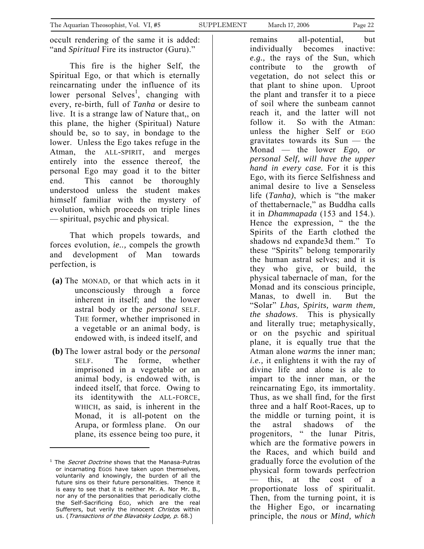occult rendering of the same it is added: "and *Spiritual* Fire its instructor (Guru)."

This fire is the higher Self, the Spiritual Ego, or that which is eternally reincarnating under the influence of its lower personal Selves<sup>1</sup>[,](#page-21-0) changing with every, re-birth, full of *Tanha* or desire to live. It is a strange law of Nature that,, on this plane, the higher (Spiritual) Nature should be, so to say, in bondage to the lower. Unless the Ego takes refuge in the Atman, the ALL-SPIRIT, and merges entirely into the essence thereof, the personal Ego may goad it to the bitter end. This cannot be thoroughly understood unless the student makes himself familiar with the mystery of evolution, which proceeds on triple lines — spiritual, psychic and physical.

That which propels towards, and forces evolution, *ie..,* compels the growth and development of Man towards perfection, is

- **(a)** The MONAD, or that which acts in it unconsciously through a force inherent in itself; and the lower astral body or the *personal* SELF. THE former, whether imprisoned in a vegetable or an animal body, is endowed with, is indeed itself, and
- **(b)** The lower astral body or the *personal*  SELF. The forme, whether imprisoned in a vegetable or an animal body, is endowed with, is indeed itself, that force. Owing to its identitywith the ALL-FORCE, WHICH, as said, is inherent in the Monad, it is all-potent on the Arupa, or formless plane. On our plane, its essence being too pure, it

 $\overline{a}$ 

remains all-potential, but individually becomes inactive: *e.g.,* the rays of the Sun, which contribute to the growth of vegetation, do not select this or that plant to shine upon. Uproot the plant and transfer it to a piece of soil where the sunbeam cannot reach it, and the latter will not follow it. So with the Atman: unless the higher Self or EGO gravitates towards its Sun — the Monad — the lower *Ego, or personal Self, will have the upper hand in every case.* For it is this Ego, with its fierce Selfishness and animal desire to live a Senseless life (*Tanha)*, which is "the maker of thettabernacle," as Buddha calls it in *Dhammapada* (153 and 154.). Hence the expression, " the the Spirits of the Earth clothed the shadows nd expande3d them." To these "Spirits" belong temporarily the human astral selves; and it is they who give, or build, the physical tabernacle of man, for the Monad and its conscious principle, Manas, to dwell in. But the "Solar" *Lhas, Spirits, warm them, the shadows*. This is physically and literally true; metaphysically, or on the psychic and spiritual plane, it is equally true that the Atman alone *warms* the inner man; *i.e.,* it enlightens it with the ray of divine life and alone is ale to impart to the inner man, or the reincarnating Ego, its immortality. Thus, as we shall find, for the first three and a half Root-Races, up to the middle or turning point, it is the astral shadows of the progenitors, " the lunar Pitris, which are the formative powers in the Races, and which build and gradually force the evolution of the physical form towards perfectrion this, at the cost of a proportionate loss of spiritualit. Then, from the turning point, it is the Higher Ego, or incarnating principle, the *nous* or *Mind, which* 

<span id="page-21-0"></span><sup>&</sup>lt;sup>1</sup> The *Secret Doctrine* shows that the Manasa-Putras or incarnating EGOS have taken upon themselves, voluntarily and knowingly, the burden of all the future sins os their future personalities. Thence it is easy to see that it is neither Mr. A. Nor Mr. B., nor any of the personalities that periodically clothe the Self-Sacrificing EGO, which are the real Sufferers, but verily the innocent Christos within us. (Transactions of the Blavatsky Lodge, p. 68.)